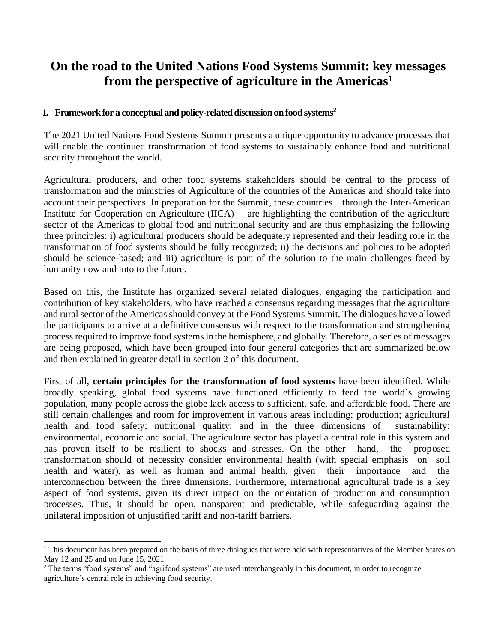# **On the road to the United Nations Food Systems Summit: key messages from the perspective of agriculture in the Americas<sup>1</sup>**

#### 1. **Framework for a conceptual and policy-related discussion on food systems<sup>2</sup>**

The 2021 United Nations Food Systems Summit presents a unique opportunity to advance processes that will enable the continued transformation of food systems to sustainably enhance food and nutritional security throughout the world.

Agricultural producers, and other food systems stakeholders should be central to the process of transformation and the ministries of Agriculture of the countries of the Americas and should take into account their perspectives. In preparation for the Summit, these countries—through the Inter-American Institute for Cooperation on Agriculture (IICA)— are highlighting the contribution of the agriculture sector of the Americas to global food and nutritional security and are thus emphasizing the following three principles: i) agricultural producers should be adequately represented and their leading role in the transformation of food systems should be fully recognized; ii) the decisions and policies to be adopted should be science-based; and iii) agriculture is part of the solution to the main challenges faced by humanity now and into to the future.

Based on this, the Institute has organized several related dialogues, engaging the participation and contribution of key stakeholders, who have reached a consensus regarding messages that the agriculture and rural sector of the Americas should convey at the Food Systems Summit. The dialogues have allowed the participants to arrive at a definitive consensus with respect to the transformation and strengthening process required to improve food systems in the hemisphere, and globally. Therefore, a series of messages are being proposed, which have been grouped into four general categories that are summarized below and then explained in greater detail in section 2 of this document.

First of all, **certain principles for the transformation of food systems** have been identified. While broadly speaking, global food systems have functioned efficiently to feed the world's growing population, many people across the globe lack access to sufficient, safe, and affordable food. There are still certain challenges and room for improvement in various areas including: production; agricultural health and food safety; nutritional quality; and in the three dimensions of sustainability: environmental, economic and social. The agriculture sector has played a central role in this system and has proven itself to be resilient to shocks and stresses. On the other hand, the proposed transformation should of necessity consider environmental health (with special emphasis on soil health and water), as well as human and animal health, given their importance and the interconnection between the three dimensions. Furthermore, international agricultural trade is a key aspect of food systems, given its direct impact on the orientation of production and consumption processes. Thus, it should be open, transparent and predictable, while safeguarding against the unilateral imposition of unjustified tariff and non-tariff barriers.

<sup>&</sup>lt;sup>1</sup> This document has been prepared on the basis of three dialogues that were held with representatives of the Member States on May 12 and 25 and on June 15, 2021.

<sup>&</sup>lt;sup>2</sup> The terms "food systems" and "agrifood systems" are used interchangeably in this document, in order to recognize agriculture's central role in achieving food security.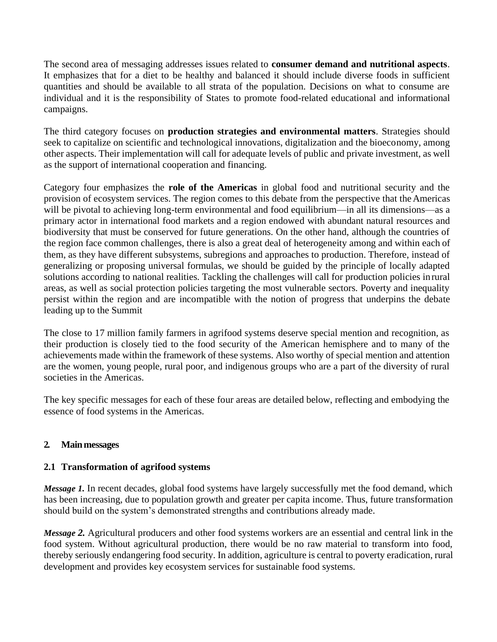The second area of messaging addresses issues related to **consumer demand and nutritional aspects**. It emphasizes that for a diet to be healthy and balanced it should include diverse foods in sufficient quantities and should be available to all strata of the population. Decisions on what to consume are individual and it is the responsibility of States to promote food-related educational and informational campaigns.

The third category focuses on **production strategies and environmental matters**. Strategies should seek to capitalize on scientific and technological innovations, digitalization and the bioeconomy, among other aspects. Their implementation will call for adequate levels of public and private investment, as well as the support of international cooperation and financing.

Category four emphasizes the **role of the Americas** in global food and nutritional security and the provision of ecosystem services. The region comes to this debate from the perspective that theAmericas will be pivotal to achieving long-term environmental and food equilibrium—in all its dimensions—as a primary actor in international food markets and a region endowed with abundant natural resources and biodiversity that must be conserved for future generations. On the other hand, although the countries of the region face common challenges, there is also a great deal of heterogeneity among and within each of them, as they have different subsystems, subregions and approaches to production. Therefore, instead of generalizing or proposing universal formulas, we should be guided by the principle of locally adapted solutions according to national realities. Tackling the challenges will call for production policies inrural areas, as well as social protection policies targeting the most vulnerable sectors. Poverty and inequality persist within the region and are incompatible with the notion of progress that underpins the debate leading up to the Summit

The close to 17 million family farmers in agrifood systems deserve special mention and recognition, as their production is closely tied to the food security of the American hemisphere and to many of the achievements made within the framework of these systems. Also worthy of special mention and attention are the women, young people, rural poor, and indigenous groups who are a part of the diversity of rural societies in the Americas.

The key specific messages for each of these four areas are detailed below, reflecting and embodying the essence of food systems in the Americas.

# **2. Mainmessages**

# **2.1 Transformation of agrifood systems**

*Message 1*. In recent decades, global food systems have largely successfully met the food demand, which has been increasing, due to population growth and greater per capita income. Thus, future transformation should build on the system's demonstrated strengths and contributions already made.

*Message 2.* Agricultural producers and other food systems workers are an essential and central link in the food system. Without agricultural production, there would be no raw material to transform into food, thereby seriously endangering food security. In addition, agriculture is central to poverty eradication, rural development and provides key ecosystem services for sustainable food systems.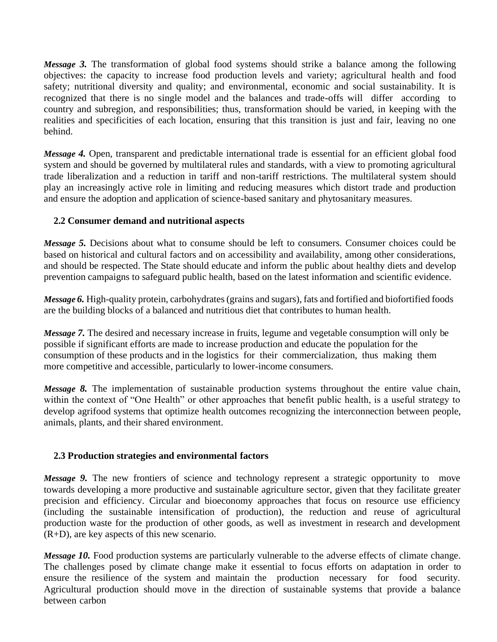*Message 3.* The transformation of global food systems should strike a balance among the following objectives: the capacity to increase food production levels and variety; agricultural health and food safety; nutritional diversity and quality; and environmental, economic and social sustainability. It is recognized that there is no single model and the balances and trade-offs will differ according to country and subregion, and responsibilities; thus, transformation should be varied, in keeping with the realities and specificities of each location, ensuring that this transition is just and fair, leaving no one behind.

*Message 4.* Open, transparent and predictable international trade is essential for an efficient global food system and should be governed by multilateral rules and standards, with a view to promoting agricultural trade liberalization and a reduction in tariff and non-tariff restrictions. The multilateral system should play an increasingly active role in limiting and reducing measures which distort trade and production and ensure the adoption and application of science-based sanitary and phytosanitary measures.

# **2.2 Consumer demand and nutritional aspects**

*Message 5.* Decisions about what to consume should be left to consumers. Consumer choices could be based on historical and cultural factors and on accessibility and availability, among other considerations, and should be respected. The State should educate and inform the public about healthy diets and develop prevention campaigns to safeguard public health, based on the latest information and scientific evidence.

*Message* 6. High-quality protein, carbohydrates (grains and sugars), fats and fortified and biofortified foods are the building blocks of a balanced and nutritious diet that contributes to human health.

*Message 7.* The desired and necessary increase in fruits, legume and vegetable consumption will only be possible if significant efforts are made to increase production and educate the population for the consumption of these products and in the logistics for their commercialization, thus making them more competitive and accessible, particularly to lower-income consumers.

*Message 8.* The implementation of sustainable production systems throughout the entire value chain, within the context of "One Health" or other approaches that benefit public health, is a useful strategy to develop agrifood systems that optimize health outcomes recognizing the interconnection between people, animals, plants, and their shared environment.

#### **2.3 Production strategies and environmental factors**

*Message 9.* The new frontiers of science and technology represent a strategic opportunity to move towards developing a more productive and sustainable agriculture sector, given that they facilitate greater precision and efficiency. Circular and bioeconomy approaches that focus on resource use efficiency (including the sustainable intensification of production), the reduction and reuse of agricultural production waste for the production of other goods, as well as investment in research and development (R+D), are key aspects of this new scenario.

*Message 10.* Food production systems are particularly vulnerable to the adverse effects of climate change. The challenges posed by climate change make it essential to focus efforts on adaptation in order to ensure the resilience of the system and maintain the production necessary for food security. Agricultural production should move in the direction of sustainable systems that provide a balance between carbon